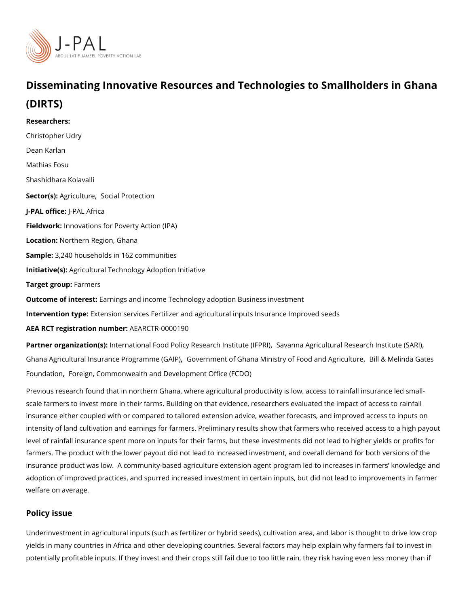# Disseminating Innovative Resources and Technologi Gestatora Small (DIRTS)

Researchers: [Christopher](https://www.povertyactionlab.org/person/udry) Udry [Dean Ka](https://www.povertyactionlab.org/person/karlan)rlan Mathias Fosu Shashidhara Kolavalli Sector( $\&$ gricultu $\&$ ecial Protection J-PAL offliceAL Africa Fieldworkhovations for Poverty Action (IPA) LocatioN: prthern Region, Ghana Sample: 240 households in 162 communities Initiative Ass ricultural Technology Adoption Initiative Target grofips mers Outcome of inte Eastings and income Technology adoption Business investment Intervention t& peension services Fertilizer and agricultural inputs Insurance Improved see

AEA RCT registration ArEuAnRbGeTR-0000190

Partner organizatlinotne(rsn)ational Food Policy Researcß alwas nint at Ag (rlife R R Lu) ral Research Institut [Ghana Agricultural Insurance P](https://www.povertyactionlab.org/partners/ghana-agricultural-insurance-programme-gaip)r[,](https://www.povertyactionlab.org/partners/government-ghana-ministry-food-and-agriculture)o Gojorammene(GtA oh P) Ghana Ministry of Foo Brialn & Migenlion woll and setes [Founda](https://www.povertyactionlab.org/partners/bill-melinda-gates-foundation)t[,](https://www.povertyactionlab.org/partners/bill-melinda-gates-foundation) [Foreign, Commonwealth and Developm](https://www.povertyactionlab.org/partners/foreign-commonwealth-and-development-office-fcdo)ent Office (FCDO)

Previous research found that in northern Ghana, where agricultural productivity is low, ac scale farmers to invest more in their farms. Building on that evidence, researchers evalua insurance either coupled with or compared to tailored extension advice, weather forecasts intensity of land cultivation and earnings for farmers. Preliminary results show that farme level of rainfall insurance spent more on inputs for their farms, but these investments did farmers. The product with the lower payout did not lead to increased investment, and ove insurance product was low. A community-based agriculture extension agent program led t adoption of improved practices, and spurred increased investment in certain inputs, but d welfare on average.

## Policy issue

Underinvestment in agricultural inputs (such as fertilizer or hybrid seeds), cultivation are yields in many countries in Africa and other developing countries. Several factors may he potentially profitable inputs. If they invest and their crops still fail due to too little rain,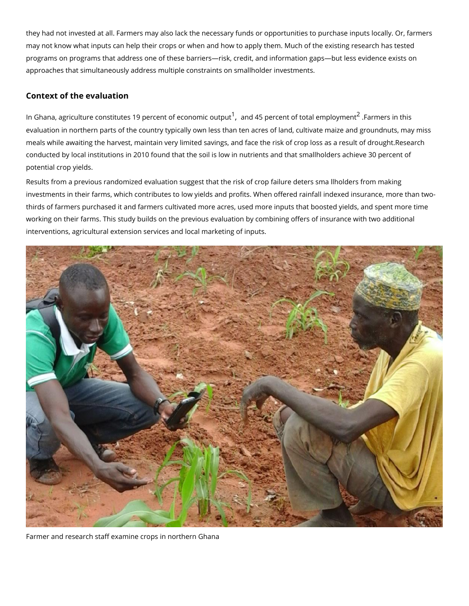they had not invested at all. Farmers may also lack the necessary funds or opportunities may not know what inputs can help their crops or when and how to apply them. Much of th programs on programs that address one of these barriers risk, credit, and information gap approaches that simultaneously address multiple constraints on smallholder investments.

#### Context of the evaluation

In Ghana, agriculture constitutes [1](#page-4-0)9 perce<sup>1</sup>n[,](#page-4-0) ta**ont e4c5o npoemoie notuot**putbtal <sup>[2](#page-4-0)</sup>emFrpalromyoenr**s**nitn this evaluation in northern parts of the country typically own less than ten acres of land, culti meals while awaiting the harvest, maintain very limited savings, and face the risk of crop conducted by local institutions in 2010 found that the soil is low in nutrients and that sma potential crop yields.

Results frpmevaious randomized esvuadgestion hat the risk of crop failure deters sma llholders f investments in their farms, which contributes to low yields and profits. When offered rain thirds of farmers purchased it and farmers cultivated more acres, used more inputs that b working on their farms. This study builds on the previous evaluation by combining offers interventions, agricultural extension services and local marketing of inputs.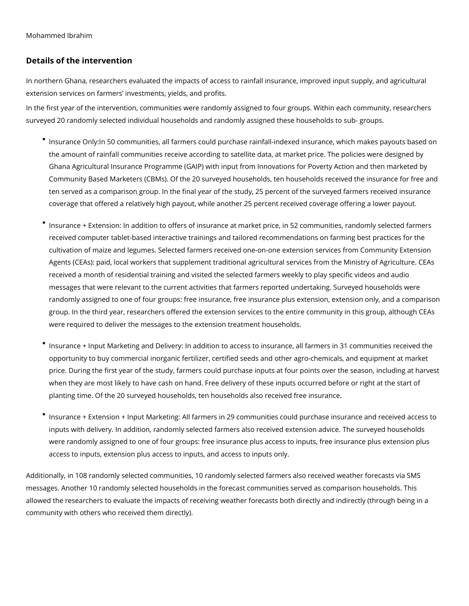# **Details of the intervention**

In northern Ghana, researchers evaluated the impacts of access to rainfall insurance, improved input supply, and agricultural extension services on farmers' investments, yields, and profits.

In the first year of the intervention, communities were randomly assigned to four groups. Within each community, researchers surveyed 20 randomly selected individual households and randomly assigned these households to sub- groups.

- Insurance Only:In 50 communities, all farmers could purchase rainfall-indexed insurance, which makes payouts based on the amount of rainfall communities receive according to satellite data, at market price. The policies were designed by Ghana Agricultural Insurance Programme (GAIP) with input from Innovations for Poverty Action and then marketed by Community Based Marketers (CBMs). Of the 20 surveyed households, ten households received the insurance for free and ten served as a comparison group. In the final year of the study, 25 percent of the surveyed farmers received insurance coverage that offered a relatively high payout, while another 25 percent received coverage offering a lower payout.
- Insurance + Extension: In addition to offers of insurance at market price, in 52 communities, randomly selected farmers received computer tablet-based interactive trainings and tailored recommendations on farming best practices for the cultivation of maize and legumes. Selected farmers received one-on-one extension services from Community Extension Agents (CEAs): paid, local workers that supplement traditional agricultural services from the Ministry of Agriculture. CEAs received a month of residential training and visited the selected farmers weekly to play specific videos and audio messages that were relevant to the current activities that farmers reported undertaking. Surveyed households were randomly assigned to one of four groups: free insurance, free insurance plus extension, extension only, and a comparison group. In the third year, researchers offered the extension services to the entire community in this group, although CEAs were required to deliver the messages to the extension treatment households.
- Insurance + Input Marketing and Delivery: In addition to access to insurance, all farmers in 31 communities received the opportunity to buy commercial inorganic fertilizer, certified seeds and other agro-chemicals, and equipment at market price. During the first year of the study, farmers could purchase inputs at four points over the season, including at harvest when they are most likely to have cash on hand. Free delivery of these inputs occurred before or right at the start of planting time. Of the 20 surveyed households, ten households also received free insurance.
- Insurance + Extension + Input Marketing: All farmers in 29 communities could purchase insurance and received access to inputs with delivery. In addition, randomly selected farmers also received extension advice. The surveyed households were randomly assigned to one of four groups: free insurance plus access to inputs, free insurance plus extension plus access to inputs, extension plus access to inputs, and access to inputs only.

Additionally, in 108 randomly selected communities, 10 randomly selected farmers also received weather forecasts via SMS messages. Another 10 randomly selected households in the forecast communities served as comparison households. This allowed the researchers to evaluate the impacts of receiving weather forecasts both directly and indirectly (through being in a community with others who received them directly).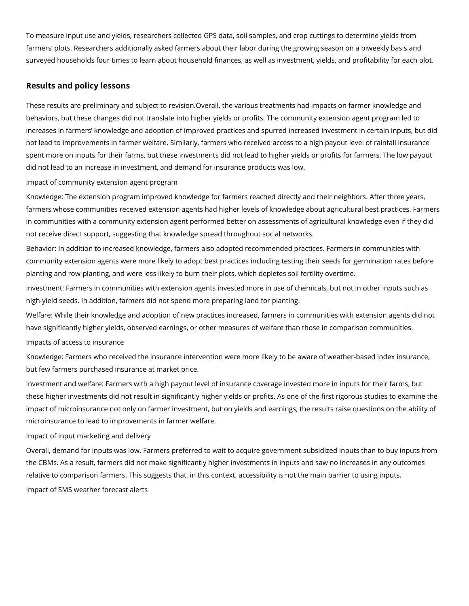To measure input use and yields, researchers collected GPS data, soil samples, and crop cuttings to determine yields from farmers' plots. Researchers additionally asked farmers about their labor during the growing season on a biweekly basis and surveyed households four times to learn about household finances, as well as investment, yields, and profitability for each plot.

## **Results and policy lessons**

These results are preliminary and subject to revision.Overall, the various treatments had impacts on farmer knowledge and behaviors, but these changes did not translate into higher yields or profits. The community extension agent program led to increases in farmers' knowledge and adoption of improved practices and spurred increased investment in certain inputs, but did not lead to improvements in farmer welfare. Similarly, farmers who received access to a high payout level of rainfall insurance spent more on inputs for their farms, but these investments did not lead to higher yields or profits for farmers. The low payout did not lead to an increase in investment, and demand for insurance products was low.

Impact of community extension agent program

Knowledge: The extension program improved knowledge for farmers reached directly and their neighbors. After three years, farmers whose communities received extension agents had higher levels of knowledge about agricultural best practices. Farmers in communities with a community extension agent performed better on assessments of agricultural knowledge even if they did not receive direct support, suggesting that knowledge spread throughout social networks.

Behavior: In addition to increased knowledge, farmers also adopted recommended practices. Farmers in communities with community extension agents were more likely to adopt best practices including testing their seeds for germination rates before planting and row-planting, and were less likely to burn their plots, which depletes soil fertility overtime.

Investment: Farmers in communities with extension agents invested more in use of chemicals, but not in other inputs such as high-yield seeds. In addition, farmers did not spend more preparing land for planting.

Welfare: While their knowledge and adoption of new practices increased, farmers in communities with extension agents did not have significantly higher yields, observed earnings, or other measures of welfare than those in comparison communities.

Impacts of access to insurance

Knowledge: Farmers who received the insurance intervention were more likely to be aware of weather-based index insurance, but few farmers purchased insurance at market price.

Investment and welfare: Farmers with a high payout level of insurance coverage invested more in inputs for their farms, but these higher investments did not result in significantly higher yields or profits. As one of the first rigorous studies to examine the impact of microinsurance not only on farmer investment, but on yields and earnings, the results raise questions on the ability of microinsurance to lead to improvements in farmer welfare.

### Impact of input marketing and delivery

Overall, demand for inputs was low. Farmers preferred to wait to acquire government-subsidized inputs than to buy inputs from the CBMs. As a result, farmers did not make significantly higher investments in inputs and saw no increases in any outcomes relative to comparison farmers. This suggests that, in this context, accessibility is not the main barrier to using inputs. Impact of SMS weather forecast alerts